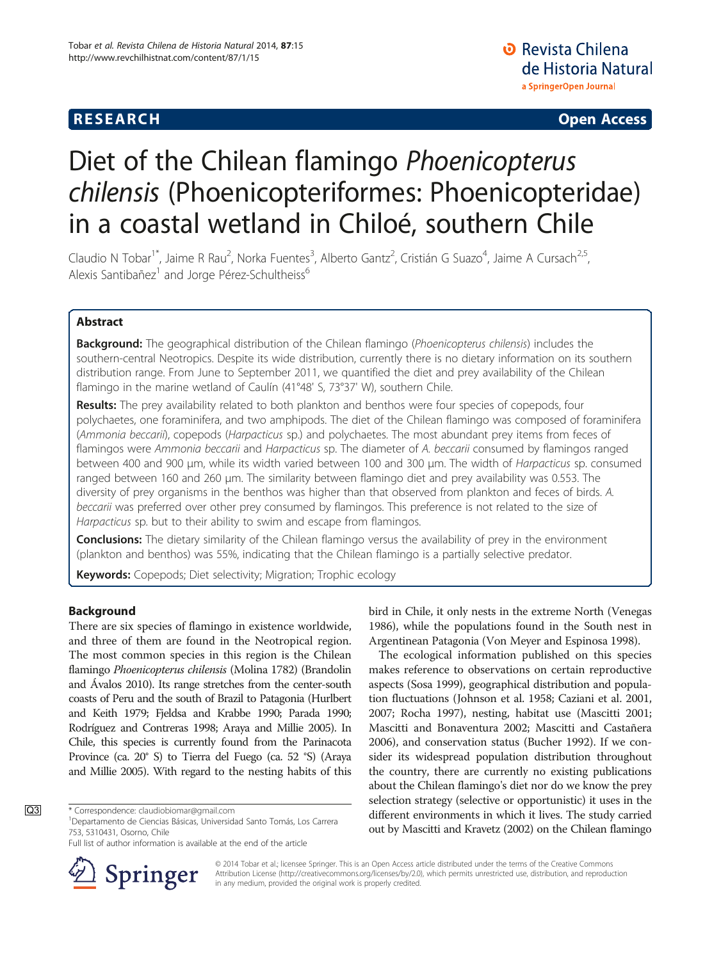# **RESEARCH CHE Open Access**

# Diet of the Chilean flamingo Phoenicopterus chilensis (Phoenicopteriformes: Phoenicopteridae) in a coastal wetland in Chiloé, southern Chile

Claudio N Tobar<sup>1\*</sup>, Jaime R Rau<sup>2</sup>, Norka Fuentes<sup>3</sup>, Alberto Gantz<sup>2</sup>, Cristián G Suazo<sup>4</sup>, Jaime A Cursach<sup>2,5</sup>, Alexis Santibañez<sup>1</sup> and Jorge Pérez-Schultheiss<sup>6</sup>

# Abstract

Background: The geographical distribution of the Chilean flamingo (Phoenicopterus chilensis) includes the southern-central Neotropics. Despite its wide distribution, currently there is no dietary information on its southern distribution range. From June to September 2011, we quantified the diet and prey availability of the Chilean flamingo in the marine wetland of Caulín (41°48' S, 73°37' W), southern Chile.

Results: The prey availability related to both plankton and benthos were four species of copepods, four polychaetes, one foraminifera, and two amphipods. The diet of the Chilean flamingo was composed of foraminifera (Ammonia beccarii), copepods (Harpacticus sp.) and polychaetes. The most abundant prey items from feces of flamingos were Ammonia beccarii and Harpacticus sp. The diameter of A. beccarii consumed by flamingos ranged between 400 and 900 μm, while its width varied between 100 and 300 μm. The width of Harpacticus sp. consumed ranged between 160 and 260 μm. The similarity between flamingo diet and prey availability was 0.553. The diversity of prey organisms in the benthos was higher than that observed from plankton and feces of birds. A. beccarii was preferred over other prey consumed by flamingos. This preference is not related to the size of Harpacticus sp. but to their ability to swim and escape from flamingos.

**Conclusions:** The dietary similarity of the Chilean flamingo versus the availability of prey in the environment (plankton and benthos) was 55%, indicating that the Chilean flamingo is a partially selective predator.

Keywords: Copepods; Diet selectivity; Migration; Trophic ecology

# Background

There are six species of flamingo in existence worldwide, and three of them are found in the Neotropical region. The most common species in this region is the Chilean flamingo Phoenicopterus chilensis (Molina 1782) (Brandolin and Ávalos [2010\)](#page-5-0). Its range stretches from the center-south coasts of Peru and the south of Brazil to Patagonia (Hurlbert and Keith [1979;](#page-6-0) Fjeldsa and Krabbe [1990;](#page-6-0) Parada [1990](#page-6-0); Rodríguez and Contreras [1998](#page-6-0); Araya and Millie [2005](#page-5-0)). In Chile, this species is currently found from the Parinacota Province (ca. 20° S) to Tierra del Fuego (ca. 52 °S) (Araya and Millie [2005](#page-5-0)). With regard to the nesting habits of this

Full list of author information is available at the end of the article



bird in Chile, it only nests in the extreme North (Venegas [1986](#page-6-0)), while the populations found in the South nest in Argentinean Patagonia (Von Meyer and Espinosa [1998\)](#page-6-0).

The ecological information published on this species makes reference to observations on certain reproductive aspects (Sosa [1999\)](#page-6-0), geographical distribution and population fluctuations (Johnson et al. [1958;](#page-6-0) Caziani et al. [2001](#page-6-0), [2007](#page-6-0); Rocha [1997](#page-6-0)), nesting, habitat use (Mascitti [2001](#page-6-0); Mascitti and Bonaventura [2002;](#page-6-0) Mascitti and Castañera [2006](#page-6-0)), and conservation status (Bucher [1992](#page-5-0)). If we consider its widespread population distribution throughout the country, there are currently no existing publications about the Chilean flamingo's diet nor do we know the prey selection strategy (selective or opportunistic) it uses in the different environments in which it lives. The study carried out by Mascitti and Kravetz [\(2002\)](#page-6-0) on the Chilean flamingo

© 2014 Tobar et al.; licensee Springer. This is an Open Access article distributed under the terms of the Creative Commons Attribution License [\(http://creativecommons.org/licenses/by/2.0\)](http://creativecommons.org/licenses/by/2.0), which permits unrestricted use, distribution, and reproduction in any medium, provided the original work is properly credited.

Q3 \* Correspondence: [claudiobiomar@gmail.com](mailto:claudiobiomar@gmail.com)

Departamento de Ciencias Básicas, Universidad Santo Tomás, Los Carrera 753, 5310431, Osorno, Chile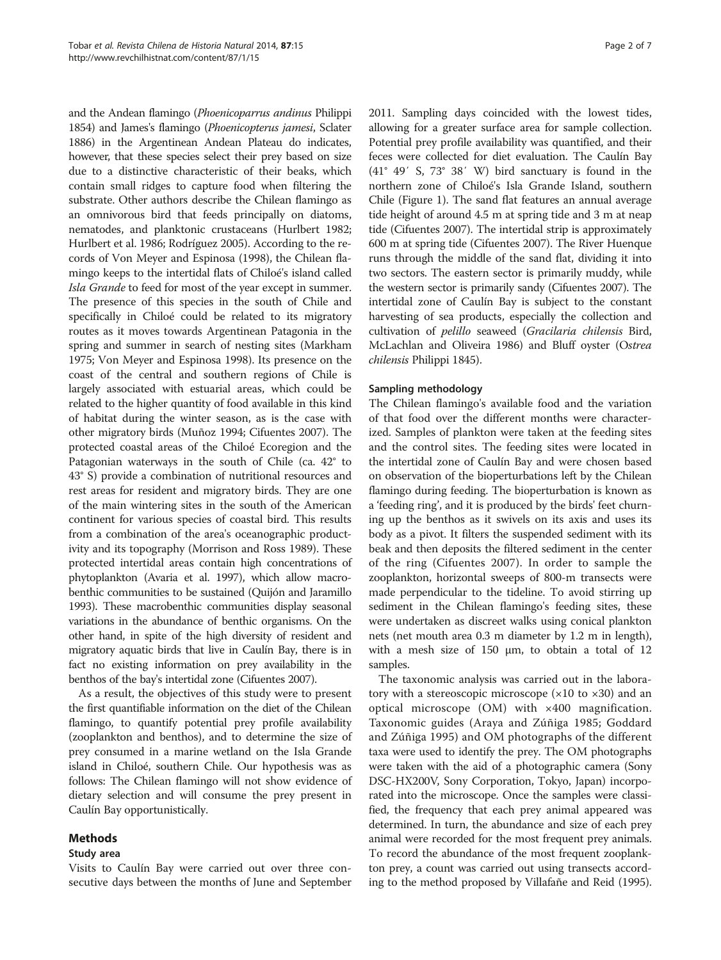and the Andean flamingo (Phoenicoparrus andinus Philippi 1854) and James's flamingo (Phoenicopterus jamesi, Sclater 1886) in the Argentinean Andean Plateau do indicates, however, that these species select their prey based on size due to a distinctive characteristic of their beaks, which contain small ridges to capture food when filtering the substrate. Other authors describe the Chilean flamingo as an omnivorous bird that feeds principally on diatoms, nematodes, and planktonic crustaceans (Hurlbert [1982](#page-6-0); Hurlbert et al. [1986;](#page-6-0) Rodríguez [2005\)](#page-6-0). According to the records of Von Meyer and Espinosa [\(1998\)](#page-6-0), the Chilean flamingo keeps to the intertidal flats of Chiloé's island called Isla Grande to feed for most of the year except in summer. The presence of this species in the south of Chile and specifically in Chiloé could be related to its migratory routes as it moves towards Argentinean Patagonia in the spring and summer in search of nesting sites (Markham [1975;](#page-6-0) Von Meyer and Espinosa [1998](#page-6-0)). Its presence on the coast of the central and southern regions of Chile is largely associated with estuarial areas, which could be related to the higher quantity of food available in this kind of habitat during the winter season, as is the case with other migratory birds (Muñoz [1994;](#page-6-0) Cifuentes [2007](#page-6-0)). The protected coastal areas of the Chiloé Ecoregion and the Patagonian waterways in the south of Chile (ca. 42° to 43° S) provide a combination of nutritional resources and rest areas for resident and migratory birds. They are one of the main wintering sites in the south of the American continent for various species of coastal bird. This results from a combination of the area's oceanographic productivity and its topography (Morrison and Ross [1989](#page-6-0)). These protected intertidal areas contain high concentrations of phytoplankton (Avaria et al. [1997](#page-5-0)), which allow macrobenthic communities to be sustained (Quijón and Jaramillo [1993\)](#page-6-0). These macrobenthic communities display seasonal variations in the abundance of benthic organisms. On the other hand, in spite of the high diversity of resident and migratory aquatic birds that live in Caulín Bay, there is in fact no existing information on prey availability in the benthos of the bay's intertidal zone (Cifuentes [2007\)](#page-6-0).

As a result, the objectives of this study were to present the first quantifiable information on the diet of the Chilean flamingo, to quantify potential prey profile availability (zooplankton and benthos), and to determine the size of prey consumed in a marine wetland on the Isla Grande island in Chiloé, southern Chile. Our hypothesis was as follows: The Chilean flamingo will not show evidence of dietary selection and will consume the prey present in Caulín Bay opportunistically.

# Methods

#### Study area

Visits to Caulín Bay were carried out over three consecutive days between the months of June and September 2011. Sampling days coincided with the lowest tides, allowing for a greater surface area for sample collection. Potential prey profile availability was quantified, and their feces were collected for diet evaluation. The Caulín Bay (41° 49′ S, 73° 38′ W) bird sanctuary is found in the northern zone of Chiloé's Isla Grande Island, southern Chile (Figure [1](#page-2-0)). The sand flat features an annual average tide height of around 4.5 m at spring tide and 3 m at neap tide (Cifuentes [2007\)](#page-6-0). The intertidal strip is approximately 600 m at spring tide (Cifuentes [2007](#page-6-0)). The River Huenque runs through the middle of the sand flat, dividing it into two sectors. The eastern sector is primarily muddy, while the western sector is primarily sandy (Cifuentes [2007\)](#page-6-0). The intertidal zone of Caulín Bay is subject to the constant harvesting of sea products, especially the collection and cultivation of pelillo seaweed (Gracilaria chilensis Bird, McLachlan and Oliveira 1986) and Bluff oyster (Ostrea chilensis Philippi 1845).

### Sampling methodology

The Chilean flamingo's available food and the variation of that food over the different months were characterized. Samples of plankton were taken at the feeding sites and the control sites. The feeding sites were located in the intertidal zone of Caulín Bay and were chosen based on observation of the bioperturbations left by the Chilean flamingo during feeding. The bioperturbation is known as a 'feeding ring', and it is produced by the birds' feet churning up the benthos as it swivels on its axis and uses its body as a pivot. It filters the suspended sediment with its beak and then deposits the filtered sediment in the center of the ring (Cifuentes [2007](#page-6-0)). In order to sample the zooplankton, horizontal sweeps of 800-m transects were made perpendicular to the tideline. To avoid stirring up sediment in the Chilean flamingo's feeding sites, these were undertaken as discreet walks using conical plankton nets (net mouth area 0.3 m diameter by 1.2 m in length), with a mesh size of 150 μm, to obtain a total of 12 samples.

The taxonomic analysis was carried out in the laboratory with a stereoscopic microscope  $(x10$  to  $x30)$  and an optical microscope (OM) with ×400 magnification. Taxonomic guides (Araya and Zúñiga [1985;](#page-5-0) Goddard and Zúñiga [1995\)](#page-6-0) and OM photographs of the different taxa were used to identify the prey. The OM photographs were taken with the aid of a photographic camera (Sony DSC-HX200V, Sony Corporation, Tokyo, Japan) incorporated into the microscope. Once the samples were classified, the frequency that each prey animal appeared was determined. In turn, the abundance and size of each prey animal were recorded for the most frequent prey animals. To record the abundance of the most frequent zooplankton prey, a count was carried out using transects according to the method proposed by Villafañe and Reid [\(1995](#page-6-0)).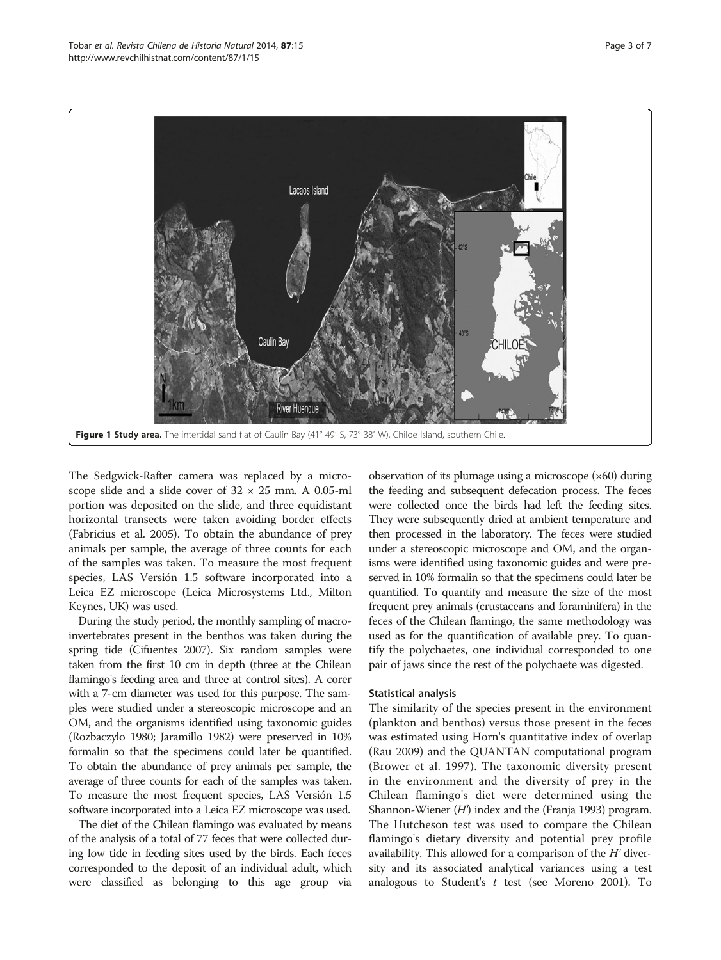<span id="page-2-0"></span>

The Sedgwick-Rafter camera was replaced by a microscope slide and a slide cover of  $32 \times 25$  mm. A 0.05-ml portion was deposited on the slide, and three equidistant horizontal transects were taken avoiding border effects (Fabricius et al. [2005](#page-6-0)). To obtain the abundance of prey animals per sample, the average of three counts for each of the samples was taken. To measure the most frequent species, LAS Versión 1.5 software incorporated into a Leica EZ microscope (Leica Microsystems Ltd., Milton Keynes, UK) was used.

During the study period, the monthly sampling of macroinvertebrates present in the benthos was taken during the spring tide (Cifuentes [2007\)](#page-6-0). Six random samples were taken from the first 10 cm in depth (three at the Chilean flamingo's feeding area and three at control sites). A corer with a 7-cm diameter was used for this purpose. The samples were studied under a stereoscopic microscope and an OM, and the organisms identified using taxonomic guides (Rozbaczylo [1980;](#page-6-0) Jaramillo [1982](#page-6-0)) were preserved in 10% formalin so that the specimens could later be quantified. To obtain the abundance of prey animals per sample, the average of three counts for each of the samples was taken. To measure the most frequent species, LAS Versión 1.5 software incorporated into a Leica EZ microscope was used.

The diet of the Chilean flamingo was evaluated by means of the analysis of a total of 77 feces that were collected during low tide in feeding sites used by the birds. Each feces corresponded to the deposit of an individual adult, which were classified as belonging to this age group via observation of its plumage using a microscope (×60) during the feeding and subsequent defecation process. The feces were collected once the birds had left the feeding sites. They were subsequently dried at ambient temperature and then processed in the laboratory. The feces were studied under a stereoscopic microscope and OM, and the organisms were identified using taxonomic guides and were preserved in 10% formalin so that the specimens could later be quantified. To quantify and measure the size of the most frequent prey animals (crustaceans and foraminifera) in the feces of the Chilean flamingo, the same methodology was used as for the quantification of available prey. To quantify the polychaetes, one individual corresponded to one pair of jaws since the rest of the polychaete was digested.

#### Statistical analysis

The similarity of the species present in the environment (plankton and benthos) versus those present in the feces was estimated using Horn's quantitative index of overlap (Rau [2009\)](#page-6-0) and the QUANTAN computational program (Brower et al. [1997](#page-5-0)). The taxonomic diversity present in the environment and the diversity of prey in the Chilean flamingo's diet were determined using the Shannon-Wiener  $(H)$  index and the (Franja [1993](#page-6-0)) program. The Hutcheson test was used to compare the Chilean flamingo's dietary diversity and potential prey profile availability. This allowed for a comparison of the  $H'$  diversity and its associated analytical variances using a test analogous to Student's  $t$  test (see Moreno [2001\)](#page-6-0). To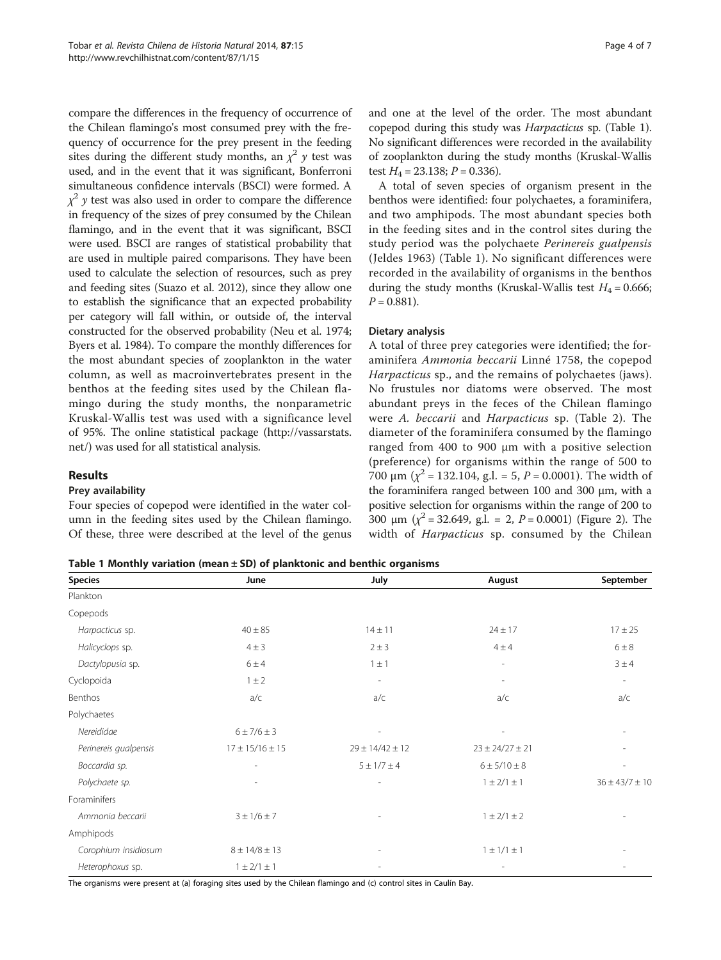compare the differences in the frequency of occurrence of the Chilean flamingo's most consumed prey with the frequency of occurrence for the prey present in the feeding sites during the different study months, an  $\chi^2$  y test was used, and in the event that it was significant, Bonferroni simultaneous confidence intervals (BSCI) were formed. A  $\chi^2$  y test was also used in order to compare the difference in frequency of the sizes of prey consumed by the Chilean flamingo, and in the event that it was significant, BSCI were used. BSCI are ranges of statistical probability that are used in multiple paired comparisons. They have been used to calculate the selection of resources, such as prey and feeding sites (Suazo et al. [2012\)](#page-6-0), since they allow one to establish the significance that an expected probability per category will fall within, or outside of, the interval constructed for the observed probability (Neu et al. [1974](#page-6-0); Byers et al. [1984](#page-5-0)). To compare the monthly differences for the most abundant species of zooplankton in the water column, as well as macroinvertebrates present in the benthos at the feeding sites used by the Chilean flamingo during the study months, the nonparametric Kruskal-Wallis test was used with a significance level of 95%. The online statistical package ([http://vassarstats.](http://vassarstats.net/) [net/\)](http://vassarstats.net/) was used for all statistical analysis.

### Results

#### Prey availability

Four species of copepod were identified in the water column in the feeding sites used by the Chilean flamingo. Of these, three were described at the level of the genus

and one at the level of the order. The most abundant copepod during this study was Harpacticus sp. (Table 1). No significant differences were recorded in the availability of zooplankton during the study months (Kruskal-Wallis test  $H_4 = 23.138$ ;  $P = 0.336$ ).

A total of seven species of organism present in the benthos were identified: four polychaetes, a foraminifera, and two amphipods. The most abundant species both in the feeding sites and in the control sites during the study period was the polychaete Perinereis gualpensis (Jeldes 1963) (Table 1). No significant differences were recorded in the availability of organisms in the benthos during the study months (Kruskal-Wallis test  $H_4 = 0.666$ ;  $P = 0.881$ .

#### Dietary analysis

A total of three prey categories were identified; the foraminifera Ammonia beccarii Linné 1758, the copepod Harpacticus sp., and the remains of polychaetes (jaws). No frustules nor diatoms were observed. The most abundant preys in the feces of the Chilean flamingo were A. beccarii and Harpacticus sp. (Table [2](#page-4-0)). The diameter of the foraminifera consumed by the flamingo ranged from 400 to 900 μm with a positive selection (preference) for organisms within the range of 500 to 700 μm ( $\chi^2$  = 132.104, g.l. = 5, P = 0.0001). The width of the foraminifera ranged between 100 and 300 μm, with a positive selection for organisms within the range of 200 to 300  $\mu$ m ( $\chi^2$  = 32.649, g.l. = 2, P = 0.0001) (Figure [2\)](#page-4-0). The width of Harpacticus sp. consumed by the Chilean

Table 1 Monthly variation (mean  $\pm$  SD) of planktonic and benthic organisms

| <b>Species</b>        | June                  | July                  | August                   | September            |
|-----------------------|-----------------------|-----------------------|--------------------------|----------------------|
| Plankton              |                       |                       |                          |                      |
| Copepods              |                       |                       |                          |                      |
| Harpacticus sp.       | $40 \pm 85$           | $14 \pm 11$           | $24 \pm 17$              | $17 \pm 25$          |
| Halicyclops sp.       | $4 \pm 3$             | $2 \pm 3$             | $4 \pm 4$                | $6 \pm 8$            |
| Dactylopusia sp.      | $6 \pm 4$             | $1 \pm 1$             | $\overline{\phantom{a}}$ | 3±4                  |
| Cyclopoida            | $1 \pm 2$             |                       | $\overline{\phantom{a}}$ | $\sim$               |
| Benthos               | a/c                   | a/c                   | a/c                      | a/c                  |
| Polychaetes           |                       |                       |                          |                      |
| Nereididae            | $6 \pm 7/6 \pm 3$     |                       |                          |                      |
| Perinereis gualpensis | $17 \pm 15/16 \pm 15$ | $29 \pm 14/42 \pm 12$ | $23 \pm 24/27 \pm 21$    |                      |
| Boccardia sp.         | ٠                     | $5 \pm 1/7 \pm 4$     | $6 \pm 5/10 \pm 8$       |                      |
| Polychaete sp.        | $\overline{a}$        |                       | $1 \pm 2/1 \pm 1$        | $36 \pm 43/7 \pm 10$ |
| Foraminifers          |                       |                       |                          |                      |
| Ammonia beccarii      | $3 \pm 1/6 \pm 7$     |                       | $1 \pm 2/1 \pm 2$        |                      |
| Amphipods             |                       |                       |                          |                      |
| Corophium insidiosum  | $8 \pm 14/8 \pm 13$   |                       | $1 \pm 1/1 \pm 1$        |                      |
| Heterophoxus sp.      | $1 \pm 2/1 \pm 1$     |                       |                          |                      |

The organisms were present at (a) foraging sites used by the Chilean flamingo and (c) control sites in Caulín Bay.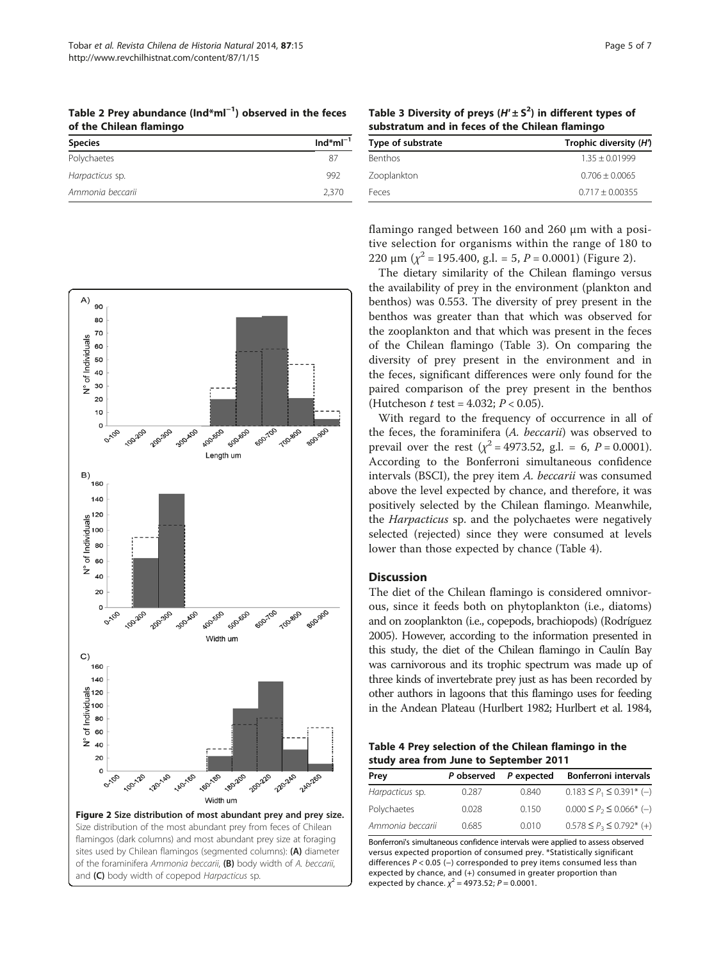<span id="page-4-0"></span>Table 2 Prey abundance (Ind\*ml<sup>−1</sup>) observed in the feces of the Chilean flamingo

| <b>Species</b>   | $Ind^*ml^{-1}$ |
|------------------|----------------|
| Polychaetes      | 87             |
| Harpacticus sp.  | 992            |
| Ammonia beccarii | 2,370          |

Table 3 Diversity of preys  $(H' \pm S^2)$  in different types of substratum and in feces of the Chilean flamingo

| Trophic diversity (H') |  |  |
|------------------------|--|--|
| $1.35 + 0.01999$       |  |  |
| $0.706 + 0.0065$       |  |  |
| $0.717 + 0.00355$      |  |  |
|                        |  |  |



and (C) body width of copepod Harpacticus sp.

flamingo ranged between 160 and 260 μm with a positive selection for organisms within the range of 180 to 220 μm ( $\chi^2$  = 195.400, g.l. = 5, P = 0.0001) (Figure 2).

The dietary similarity of the Chilean flamingo versus the availability of prey in the environment (plankton and benthos) was 0.553. The diversity of prey present in the benthos was greater than that which was observed for the zooplankton and that which was present in the feces of the Chilean flamingo (Table 3). On comparing the diversity of prey present in the environment and in the feces, significant differences were only found for the paired comparison of the prey present in the benthos (Hutcheson *t* test = 4.032;  $P < 0.05$ ).

With regard to the frequency of occurrence in all of the feces, the foraminifera (A. beccarii) was observed to prevail over the rest ( $\chi^2$  = 4973.52, g.l. = 6, P = 0.0001). According to the Bonferroni simultaneous confidence intervals (BSCI), the prey item A. beccarii was consumed above the level expected by chance, and therefore, it was positively selected by the Chilean flamingo. Meanwhile, the Harpacticus sp. and the polychaetes were negatively selected (rejected) since they were consumed at levels lower than those expected by chance (Table 4).

# Discussion

The diet of the Chilean flamingo is considered omnivorous, since it feeds both on phytoplankton (i.e., diatoms) and on zooplankton (i.e., copepods, brachiopods) (Rodríguez [2005](#page-6-0)). However, according to the information presented in this study, the diet of the Chilean flamingo in Caulín Bay was carnivorous and its trophic spectrum was made up of three kinds of invertebrate prey just as has been recorded by other authors in lagoons that this flamingo uses for feeding in the Andean Plateau (Hurlbert [1982;](#page-6-0) Hurlbert et al. [1984](#page-6-0),

Table 4 Prey selection of the Chilean flamingo in the study area from June to September 2011

| Prey             | P observed | P expected | <b>Bonferroni intervals</b>       |
|------------------|------------|------------|-----------------------------------|
| Harpacticus sp.  | 0.287      | 0.840      | $0.183 \leq P_1 \leq 0.391^*$ (-) |
| Polychaetes      | 0.028      | 0.150      | $0.000 \le P_2 \le 0.066^*$ (-)   |
| Ammonia beccarii | 0.685      | 0.010      | $0.578 \leq P_3 \leq 0.792^*$ (+) |

Bonferroni's simultaneous confidence intervals were applied to assess observed versus expected proportion of consumed prey. \*Statistically significant differences P < 0.05 (−) corresponded to prey items consumed less than expected by chance, and (+) consumed in greater proportion than expected by chance.  $\chi^2$  = 4973.52; P = 0.0001.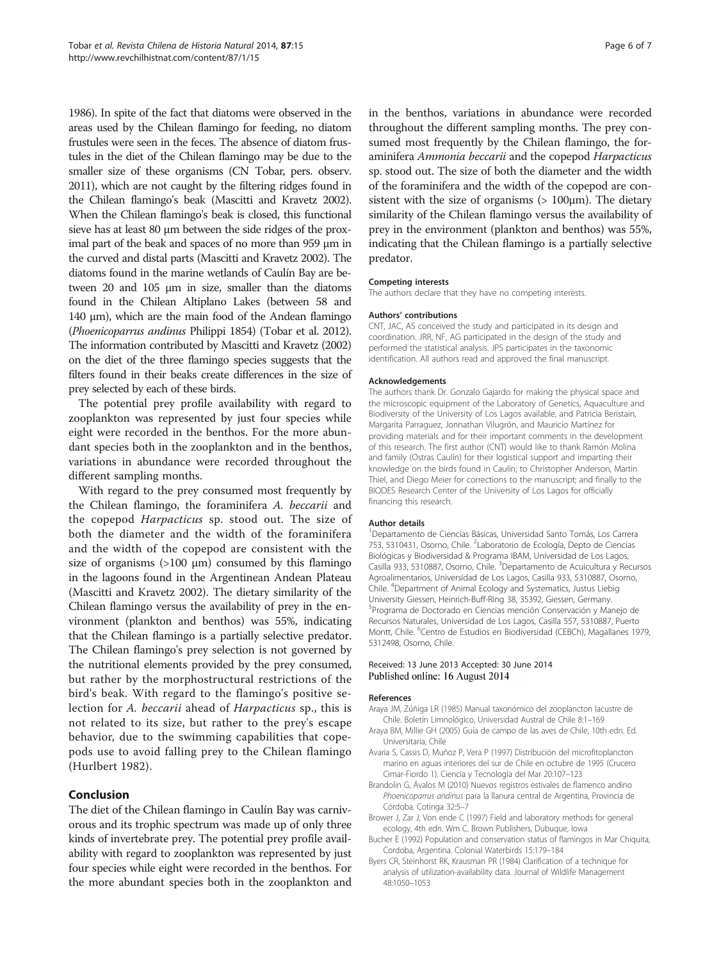<span id="page-5-0"></span>[1986](#page-6-0)). In spite of the fact that diatoms were observed in the areas used by the Chilean flamingo for feeding, no diatom frustules were seen in the feces. The absence of diatom frustules in the diet of the Chilean flamingo may be due to the smaller size of these organisms (CN Tobar, pers. observ. 2011), which are not caught by the filtering ridges found in the Chilean flamingo's beak (Mascitti and Kravetz [2002](#page-6-0)). When the Chilean flamingo's beak is closed, this functional sieve has at least 80 μm between the side ridges of the proximal part of the beak and spaces of no more than 959 μm in the curved and distal parts (Mascitti and Kravetz [2002](#page-6-0)). The diatoms found in the marine wetlands of Caulín Bay are between 20 and 105 μm in size, smaller than the diatoms found in the Chilean Altiplano Lakes (between 58 and 140 μm), which are the main food of the Andean flamingo (Phoenicoparrus andinus Philippi 1854) (Tobar et al. [2012](#page-6-0)). The information contributed by Mascitti and Kravetz ([2002](#page-6-0)) on the diet of the three flamingo species suggests that the filters found in their beaks create differences in the size of prey selected by each of these birds.

The potential prey profile availability with regard to zooplankton was represented by just four species while eight were recorded in the benthos. For the more abundant species both in the zooplankton and in the benthos, variations in abundance were recorded throughout the different sampling months.

With regard to the prey consumed most frequently by the Chilean flamingo, the foraminifera A. beccarii and the copepod Harpacticus sp. stood out. The size of both the diameter and the width of the foraminifera and the width of the copepod are consistent with the size of organisms  $(>100 \mu m)$  consumed by this flamingo in the lagoons found in the Argentinean Andean Plateau (Mascitti and Kravetz [2002](#page-6-0)). The dietary similarity of the Chilean flamingo versus the availability of prey in the environment (plankton and benthos) was 55%, indicating that the Chilean flamingo is a partially selective predator. The Chilean flamingo's prey selection is not governed by the nutritional elements provided by the prey consumed, but rather by the morphostructural restrictions of the bird's beak. With regard to the flamingo's positive selection for A. beccarii ahead of Harpacticus sp., this is not related to its size, but rather to the prey's escape behavior, due to the swimming capabilities that copepods use to avoid falling prey to the Chilean flamingo (Hurlbert [1982](#page-6-0)).

# Conclusion

The diet of the Chilean flamingo in Caulín Bay was carnivorous and its trophic spectrum was made up of only three kinds of invertebrate prey. The potential prey profile availability with regard to zooplankton was represented by just four species while eight were recorded in the benthos. For the more abundant species both in the zooplankton and in the benthos, variations in abundance were recorded throughout the different sampling months. The prey consumed most frequently by the Chilean flamingo, the foraminifera Ammonia beccarii and the copepod Harpacticus sp. stood out. The size of both the diameter and the width of the foraminifera and the width of the copepod are consistent with the size of organisms  $($  > 100 $\mu$ m). The dietary similarity of the Chilean flamingo versus the availability of prey in the environment (plankton and benthos) was 55%, indicating that the Chilean flamingo is a partially selective predator.

#### Competing interests

The authors declare that they have no competing interests.

#### Authors' contributions

CNT, JAC, AS conceived the study and participated in its design and coordination. JRR, NF, AG participated in the design of the study and performed the statistical analysis. JPS participates in the taxonomic identification. All authors read and approved the final manuscript.

#### Acknowledgements

The authors thank Dr. Gonzalo Gajardo for making the physical space and the microscopic equipment of the Laboratory of Genetics, Aquaculture and Biodiversity of the University of Los Lagos available, and Patricia Beristain, Margarita Parraguez, Jonnathan Vilugrón, and Mauricio Martínez for providing materials and for their important comments in the development of this research. The first author (CNT) would like to thank Ramón Molina and family (Ostras Caulín) for their logistical support and imparting their knowledge on the birds found in Caulín; to Christopher Anderson, Martin Thiel, and Diego Meier for corrections to the manuscript; and finally to the BIODES Research Center of the University of Los Lagos for officially financing this research.

#### Author details

1 Departamento de Ciencias Básicas, Universidad Santo Tomás, Los Carrera 753, 5310431, Osorno, Chile. <sup>2</sup>Laboratorio de Ecología, Depto de Ciencias Biológicas y Biodiversidad & Programa IBAM, Universidad de Los Lagos, Casilla 933, 5310887, Osorno, Chile. <sup>3</sup>Departamento de Acuicultura y Recursos Agroalimentarios, Universidad de Los Lagos, Casilla 933, 5310887, Osorno, Chile. <sup>4</sup> Department of Animal Ecology and Systematics, Justus Liebig University Giessen, Heinrich-Buff-Ring 38, 35392, Giessen, Germany. 5 Programa de Doctorado en Ciencias mención Conservación y Manejo de Recursos Naturales, Universidad de Los Lagos, Casilla 557, 5310887, Puerto Montt, Chile. <sup>6</sup>Centro de Estudios en Biodiversidad (CEBCh), Magallanes 1979 5312498, Osorno, Chile.

#### Received: 13 June 2013 Accepted: 30 June 2014 Published online: 16 August 2014

#### References

- Araya JM, Zúñiga LR (1985) Manual taxonómico del zooplancton lacustre de Chile. Boletín Limnológico, Universidad Austral de Chile 8:1–169
- Araya BM, Millie GH (2005) Guía de campo de las aves de Chile, 10th edn. Ed. Universitaria, Chile
- Avaria S, Cassis D, Muñoz P, Vera P (1997) Distribución del microfitoplancton marino en aguas interiores del sur de Chile en octubre de 1995 (Crucero Cimar-Fiordo 1). Ciencia y Tecnología del Mar 20:107–123
- Brandolin G, Ávalos M (2010) Nuevos registros estivales de flamenco andino Phoenicoparrus andinus para la llanura central de Argentina, Provincia de Córdoba. Cotinga 32:5–7
- Brower J, Zar J, Von ende C (1997) Field and laboratory methods for general ecology, 4th edn. Wm C. Brown Publishers, Dubuque, Iowa
- Bucher E (1992) Population and conservation status of flamingos in Mar Chiquita, Cordoba, Argentina. Colonial Waterbirds 15:179–184
- Byers CR, Steinhorst RK, Krausman PR (1984) Clarification of a technique for analysis of utilization-availability data. Journal of Wildlife Management 48:1050–1053